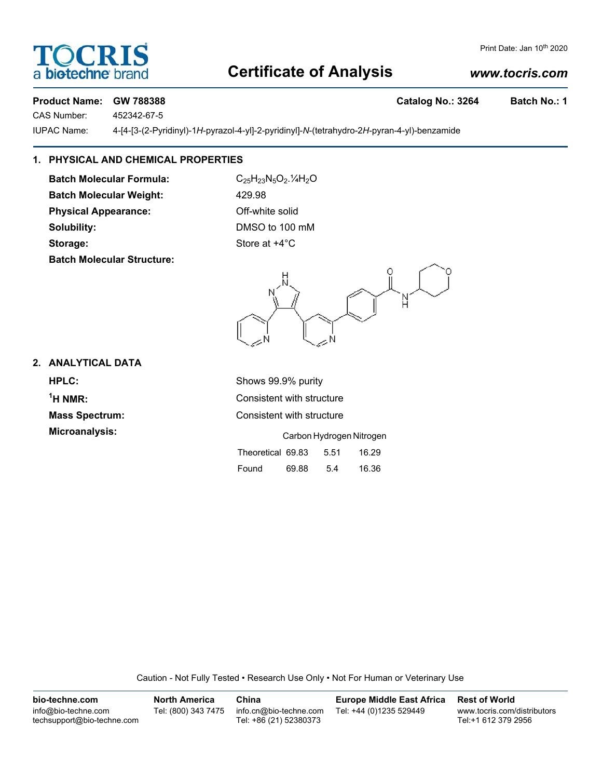# **SCRI** biotechne

#### Print Date: Jan 10<sup>th</sup> 2020

# **Certificate of Analysis**

## *www.tocris.com*

## Product Name: GW 788388 **Catalog No.: 3264** Batch No.: 1

CAS Number: 452342-67-5

IUPAC Name: 4-[4-[3-(2-Pyridinyl)-1*H*-pyrazol-4-yl]-2-pyridinyl]-*N*-(tetrahydro-2*H*-pyran-4-yl)-benzamide

## **1. PHYSICAL AND CHEMICAL PROPERTIES**

Batch Molecular Formula: C<sub>25</sub>H<sub>23</sub>N<sub>5</sub>O<sub>2</sub>.<sup>1</sup>/<sub>4</sub>H<sub>2</sub>O **Batch Molecular Weight:** 429.98 **Physical Appearance:** Off-white solid **Solubility:** DMSO to 100 mM **Storage:** Store at  $+4^{\circ}$ C **Batch Molecular Structure:**

### **2. ANALYTICAL DATA**

**HPLC:** Shows 99.9% purity  $<sup>1</sup>H NMR$ </sup>

**Consistent with structure Mass Spectrum:** Consistent with structure **Microanalysis:** Carbon Hydrogen Nitrogen Theoretical 69.83 5.51 16.29 Found 69.88 5.4 16.36

Caution - Not Fully Tested • Research Use Only • Not For Human or Veterinary Use

| bio-techne.com                                    | <b>North America</b> | China                                            | <b>Europe Middle East Africa</b> | <b>Rest of World</b>                               |
|---------------------------------------------------|----------------------|--------------------------------------------------|----------------------------------|----------------------------------------------------|
| info@bio-techne.com<br>techsupport@bio-techne.com | Tel: (800) 343 7475  | info.cn@bio-techne.com<br>Tel: +86 (21) 52380373 | Tel: +44 (0)1235 529449          | www.tocris.com/distributors<br>Tel:+1 612 379 2956 |